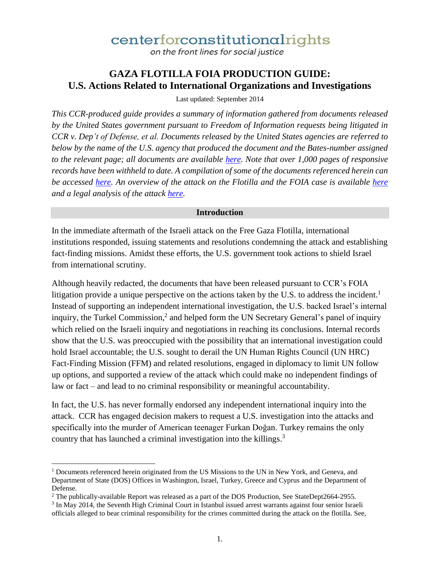on the front lines for social justice

#### **GAZA FLOTILLA FOIA PRODUCTION GUIDE: U.S. Actions Related to International Organizations and Investigations**

Last updated: September 2014

*This CCR-produced guide provides a summary of information gathered from documents released by the United States government pursuant to Freedom of Information requests being litigated in CCR v. Dep't of Defense, et al. Documents released by the United States agencies are referred to below by the name of the U.S. agency that produced the document and the Bates-number assigned to the relevant page; all documents are available here. Note that over 1,000 pages of responsive records have been withheld to date. A compilation of some of the documents referenced herein can be accessed here. An overview of the attack on the Flotilla and the FOIA case is available here and a legal analysis of the attack here.* 

**Introduction**

In the immediate aftermath of the Israeli attack on the Free Gaza Flotilla, international institutions responded, issuing statements and resolutions condemning the attack and establishing fact-finding missions. Amidst these efforts, the U.S. government took actions to shield Israel from international scrutiny.

Although heavily redacted, the documents that have been released pursuant to CCR's FOIA litigation provide a unique perspective on the actions taken by the U.S. to address the incident.<sup>1</sup> Instead of supporting an independent international investigation, the U.S. backed Israel's internal inquiry, the Turkel Commission,<sup>2</sup> and helped form the UN Secretary General's panel of inquiry which relied on the Israeli inquiry and negotiations in reaching its conclusions. Internal records show that the U.S. was preoccupied with the possibility that an international investigation could hold Israel accountable; the U.S. sought to derail the UN Human Rights Council (UN HRC) Fact-Finding Mission (FFM) and related resolutions, engaged in diplomacy to limit UN follow up options, and supported a review of the attack which could make no independent findings of law or fact – and lead to no criminal responsibility or meaningful accountability.

In fact, the U.S. has never formally endorsed any independent international inquiry into the attack. CCR has engaged decision makers to request a U.S. investigation into the attacks and specifically into the murder of American teenager Furkan Doğan. Turkey remains the only country that has launched a criminal investigation into the killings.<sup>3</sup>

l

<sup>&</sup>lt;sup>1</sup> Documents referenced herein originated from the US Missions to the UN in New York, and Geneva, and Department of State (DOS) Offices in Washington, Israel, Turkey, Greece and Cyprus and the Department of Defense.

<sup>&</sup>lt;sup>2</sup> The publically-available Report was released as a part of the DOS Production, See StateDept2664-2955.

<sup>&</sup>lt;sup>3</sup> In May 2014, the Seventh High Criminal Court in Istanbul issued arrest warrants against four senior Israeli officials alleged to bear criminal responsibility for the crimes committed during the attack on the flotilla. See,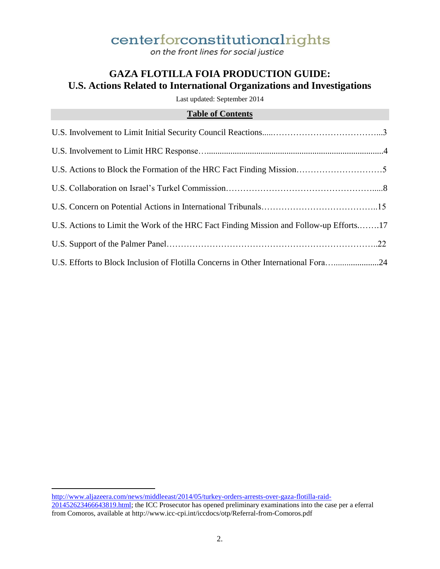on the front lines for social justice

### **GAZA FLOTILLA FOIA PRODUCTION GUIDE: U.S. Actions Related to International Organizations and Investigations**

Last updated: September 2014

#### **Table of Contents**

| U.S. Actions to Limit the Work of the HRC Fact Finding Mission and Follow-up Efforts17 |  |
|----------------------------------------------------------------------------------------|--|
|                                                                                        |  |
| U.S. Efforts to Block Inclusion of Flotilla Concerns in Other International Fora24     |  |

http://www.aljazeera.com/news/middleeast/2014/05/turkey-orders-arrests-over-gaza-flotilla-raid-201452623466643819.html; the ICC Prosecutor has opened preliminary examinations into the case per a eferral from Comoros, available at http://www.icc-cpi.int/iccdocs/otp/Referral-from-Comoros.pdf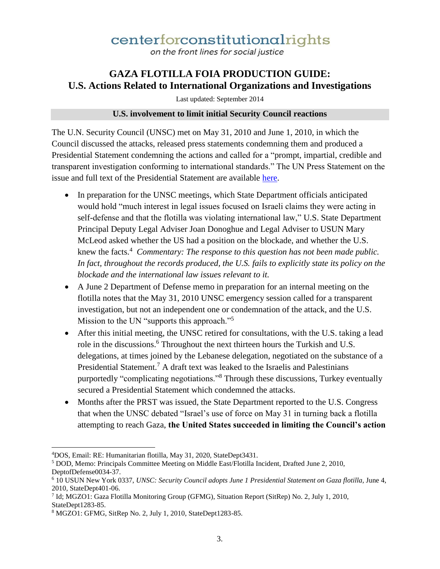on the front lines for social justice

### **GAZA FLOTILLA FOIA PRODUCTION GUIDE: U.S. Actions Related to International Organizations and Investigations**

Last updated: September 2014

#### **U.S. involvement to limit initial Security Council reactions**

The U.N. Security Council (UNSC) met on May 31, 2010 and June 1, 2010, in which the Council discussed the attacks, released press statements condemning them and produced a Presidential Statement condemning the actions and called for a "prompt, impartial, credible and transparent investigation conforming to international standards." The UN Press Statement on the issue and full text of the Presidential Statement are available here.

- In preparation for the UNSC meetings, which State Department officials anticipated would hold "much interest in legal issues focused on Israeli claims they were acting in self-defense and that the flotilla was violating international law," U.S. State Department Principal Deputy Legal Adviser Joan Donoghue and Legal Adviser to USUN Mary McLeod asked whether the US had a position on the blockade, and whether the U.S. knew the facts.<sup>4</sup> Commentary: The response to this question has not been made public. *In fact, throughout the records produced, the U.S. fails to explicitly state its policy on the blockade and the international law issues relevant to it.*
- A June 2 Department of Defense memo in preparation for an internal meeting on the flotilla notes that the May 31, 2010 UNSC emergency session called for a transparent investigation, but not an independent one or condemnation of the attack, and the U.S. Mission to the UN "supports this approach."<sup>5</sup>
- After this initial meeting, the UNSC retired for consultations, with the U.S. taking a lead role in the discussions.<sup>6</sup> Throughout the next thirteen hours the Turkish and U.S. delegations, at times joined by the Lebanese delegation, negotiated on the substance of a Presidential Statement.<sup>7</sup> A draft text was leaked to the Israelis and Palestinians purportedly "complicating negotiations."<sup>8</sup> Through these discussions, Turkey eventually secured a Presidential Statement which condemned the attacks.
- Months after the PRST was issued, the State Department reported to the U.S. Congress that when the UNSC debated "Israel's use of force on May 31 in turning back a flotilla attempting to reach Gaza, **the United States succeeded in limiting the Council's action**

 $\overline{a}$ 

<sup>4</sup>DOS, Email: RE: Humanitarian flotilla, May 31, 2020, StateDept3431.

<sup>&</sup>lt;sup>5</sup> DOD, Memo: Principals Committee Meeting on Middle East/Flotilla Incident, Drafted June 2, 2010, DeptofDefense0034-37.

<sup>&</sup>lt;sup>6</sup> 10 USUN New York 0337, UNSC: Security Council adopts June 1 Presidential Statement on Gaza flotilla, June 4, 2010, StateDept401-06.

<sup>7</sup> Id; MGZO1: Gaza Flotilla Monitoring Group (GFMG), Situation Report (SitRep) No. 2, July 1, 2010, StateDept1283-85.

<sup>8</sup> MGZO1: GFMG, SitRep No. 2, July 1, 2010, StateDept1283-85.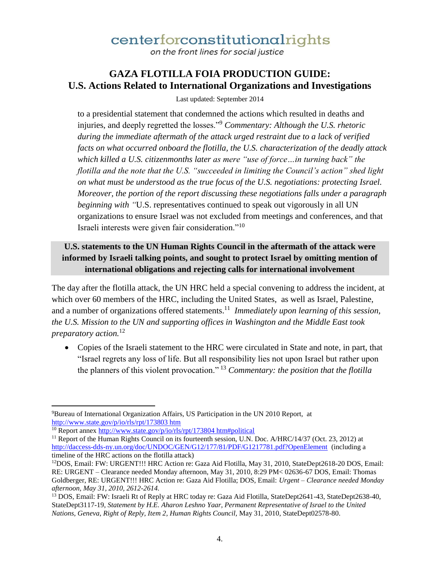on the front lines for social justice

#### **GAZA FLOTILLA FOIA PRODUCTION GUIDE: U.S. Actions Related to International Organizations and Investigations**

Last updated: September 2014

to a presidential statement that condemned the actions which resulted in deaths and injuries, and deeply regretted the losses."<sup>9</sup> *Commentary: Although the U.S. rhetoric during the immediate aftermath of the attack urged restraint due to a lack of verified facts on what occurred onboard the flotilla, the U.S. characterization of the deadly attack which killed a U.S. citizenmonths later as mere "use of force…in turning back" the flotilla and the note that the U.S. "succeeded in limiting the Council's action" shed light on what must be understood as the true focus of the U.S. negotiations: protecting Israel. Moreover, the portion of the report discussing these negotiations falls under a paragraph beginning with "*U.S. representatives continued to speak out vigorously in all UN organizations to ensure Israel was not excluded from meetings and conferences, and that Israeli interests were given fair consideration."<sup>10</sup>

#### **U.S. statements to the UN Human Rights Council in the aftermath of the attack were informed by Israeli talking points, and sought to protect Israel by omitting mention of international obligations and rejecting calls for international involvement**

The day after the flotilla attack, the UN HRC held a special convening to address the incident, at which over 60 members of the HRC, including the United States, as well as Israel, Palestine, and a number of organizations offered statements.<sup>11</sup> Immediately upon learning of this session, *the U.S. Mission to the UN and supporting offices in Washington and the Middle East took preparatory action.*<sup>12</sup>

 Copies of the Israeli statement to the HRC were circulated in State and note, in part, that "Israel regrets any loss of life. But all responsibility lies not upon Israel but rather upon the planners of this violent provocation." <sup>13</sup> *Commentary: the position that the flotilla* 

 $\overline{\phantom{a}}$ <sup>9</sup>Bureau of International Organization Affairs, US Participation in the UN 2010 Report, at http://www.state.gov/p/io/rls/rpt/173803 htm

<sup>10</sup> Report annex http://www.state.gov/p/io/rls/rpt/173804 htm#political

<sup>&</sup>lt;sup>11</sup> Report of the Human Rights Council on its fourteenth session, U.N. Doc. A/HRC/14/37 (Oct. 23, 2012) at http://daccess-dds-ny.un.org/doc/UNDOC/GEN/G12/177/81/PDF/G1217781.pdf?OpenElement (including a timeline of the HRC actions on the flotilla attack)

<sup>&</sup>lt;sup>12</sup>DOS, Email: FW: URGENT!!! HRC Action re: Gaza Aid Flotilla, May 31, 2010, StateDept2618-20 DOS, Email: RE: URGENT – Clearance needed Monday afternoon, May 31, 2010, 8:29 PM< 02636-67 DOS, Email: Thomas Goldberger, RE: URGENT!!! HRC Action re: Gaza Aid Flotilla; DOS, Email: *Urgent – Clearance needed Monday afternoon, May 31, 2010, 2612-2614.*

<sup>13</sup> DOS, Email: FW: Israeli Rt of Reply at HRC today re: Gaza Aid Flotilla, StateDept2641-43, StateDept2638-40, StateDept3117-19, *Statement by H.E. Aharon Leshno Yaar, Permanent Representative of Israel to the United Nations, Geneva, Right of Reply, Item 2, Human Rights Council,* May 31, 2010, StateDept02578-80.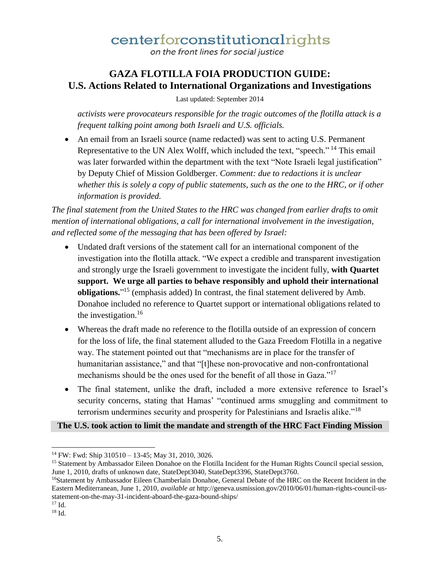on the front lines for social justice

### **GAZA FLOTILLA FOIA PRODUCTION GUIDE: U.S. Actions Related to International Organizations and Investigations**

Last updated: September 2014

*activists were provocateurs responsible for the tragic outcomes of the flotilla attack is a frequent talking point among both Israeli and U.S. officials.*

 An email from an Israeli source (name redacted) was sent to acting U.S. Permanent Representative to the UN Alex Wolff, which included the text, "speech."<sup>14</sup> This email was later forwarded within the department with the text "Note Israeli legal justification" by Deputy Chief of Mission Goldberger. *Comment: due to redactions it is unclear whether this is solely a copy of public statements, such as the one to the HRC, or if other information is provided.* 

*The final statement from the United States to the HRC was changed from earlier drafts to omit mention of international obligations, a call for international involvement in the investigation, and reflected some of the messaging that has been offered by Israel:* 

- Undated draft versions of the statement call for an international component of the investigation into the flotilla attack. "We expect a credible and transparent investigation and strongly urge the Israeli government to investigate the incident fully, **with Quartet support. We urge all parties to behave responsibly and uphold their international obligations.**" <sup>15</sup> (emphasis added) In contrast, the final statement delivered by Amb. Donahoe included no reference to Quartet support or international obligations related to the investigation. $16$
- Whereas the draft made no reference to the flotilla outside of an expression of concern for the loss of life, the final statement alluded to the Gaza Freedom Flotilla in a negative way. The statement pointed out that "mechanisms are in place for the transfer of humanitarian assistance," and that "[t]hese non-provocative and non-confrontational mechanisms should be the ones used for the benefit of all those in Gaza."<sup>17</sup>
- The final statement, unlike the draft, included a more extensive reference to Israel's security concerns, stating that Hamas' "continued arms smuggling and commitment to terrorism undermines security and prosperity for Palestinians and Israelis alike."<sup>18</sup>

#### **The U.S. took action to limit the mandate and strength of the HRC Fact Finding Mission**

 $17$  Id.

 $\overline{a}$ 

<sup>14</sup> FW: Fwd: Ship 310510 – 13-45; May 31, 2010, 3026.

<sup>&</sup>lt;sup>15</sup> Statement by Ambassador Eileen Donahoe on the Flotilla Incident for the Human Rights Council special session, June 1, 2010, drafts of unknown date, StateDept3040, StateDept3396, StateDept3760.

<sup>16</sup>Statement by Ambassador Eileen Chamberlain Donahoe, General Debate of the HRC on the Recent Incident in the Eastern Mediterranean, June 1, 2010, *available at* http://geneva.usmission.gov/2010/06/01/human-rights-council-usstatement-on-the-may-31-incident-aboard-the-gaza-bound-ships/

<sup>18</sup> Id.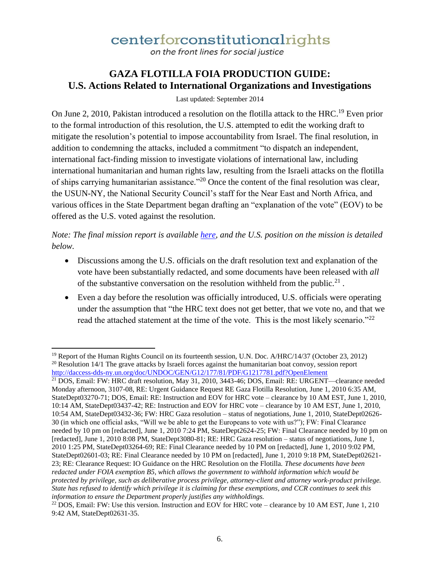on the front lines for social justice

### **GAZA FLOTILLA FOIA PRODUCTION GUIDE: U.S. Actions Related to International Organizations and Investigations**

Last updated: September 2014

On June 2, 2010, Pakistan introduced a resolution on the flotilla attack to the HRC.<sup>19</sup> Even prior to the formal introduction of this resolution, the U.S. attempted to edit the working draft to mitigate the resolution's potential to impose accountability from Israel. The final resolution, in addition to condemning the attacks, included a commitment "to dispatch an independent, international fact-finding mission to investigate violations of international law, including international humanitarian and human rights law, resulting from the Israeli attacks on the flotilla of ships carrying humanitarian assistance."<sup>20</sup> Once the content of the final resolution was clear, the USUN-NY, the National Security Council's staff for the Near East and North Africa, and various offices in the State Department began drafting an "explanation of the vote" (EOV) to be offered as the U.S. voted against the resolution.

*Note: The final mission report is available here, and the U.S. position on the mission is detailed below.*

- Discussions among the U.S. officials on the draft resolution text and explanation of the vote have been substantially redacted, and some documents have been released with *all*  of the substantive conversation on the resolution withheld from the public.<sup>21</sup>.
- Even a day before the resolution was officially introduced, U.S. officials were operating under the assumption that "the HRC text does not get better, that we vote no, and that we read the attached statement at the time of the vote. This is the most likely scenario."<sup>22</sup>

 $\overline{a}$ <sup>19</sup> Report of the Human Rights Council on its fourteenth session, U.N. Doc.  $A/HRC/14/37$  (October 23, 2012) <sup>20</sup> Resolution 14/1 The grave attacks by Israeli forces against the humanitarian boat convoy, session report http://daccess-dds-ny.un.org/doc/UNDOC/GEN/G12/177/81/PDF/G1217781.pdf?OpenElement

<sup>&</sup>lt;sup>21</sup> DOS, Email: FW: HRC draft resolution, May 31, 2010, 3443-46; DOS, Email: RE: URGENT—clearance needed Monday afternoon, 3107-08, RE: Urgent Guidance Request RE Gaza Flotilla Resolution, June 1, 2010 6:35 AM, StateDept03270-71; DOS, Email: RE: Instruction and EOV for HRC vote – clearance by 10 AM EST, June 1, 2010, 10:14 AM, StateDept03437-42; RE: Instruction and EOV for HRC vote – clearance by 10 AM EST, June 1, 2010, 10:54 AM, StateDept03432-36; FW: HRC Gaza resolution – status of negotiations, June 1, 2010, StateDept02626- 30 (in which one official asks, "Will we be able to get the Europeans to vote with us?"); FW: Final Clearance needed by 10 pm on [redacted], June 1, 2010 7:24 PM, StateDept2624-25; FW: Final Clearance needed by 10 pm on [redacted], June 1, 2010 8:08 PM, StateDept3080-81; RE: HRC Gaza resolution – status of negotiations, June 1, 2010 1:25 PM, StateDept03264-69; RE: Final Clearance needed by 10 PM on [redacted], June 1, 2010 9:02 PM, StateDept02601-03; RE: Final Clearance needed by 10 PM on [redacted], June 1, 2010 9:18 PM, StateDept02621- 23; RE: Clearance Request: IO Guidance on the HRC Resolution on the Flotilla. *These documents have been redacted under FOIA exemption B5, which allows the government to withhold information which would be protected by privilege, such as deliberative process privilege, attorney-client and attorney work-product privilege. State has refused to identify which privilege it is claiming for these exemptions, and CCR continues to seek this information to ensure the Department properly justifies any withholdings.*

<sup>&</sup>lt;sup>22</sup> DOS, Email: FW: Use this version. Instruction and EOV for HRC vote – clearance by 10 AM EST, June 1, 210 9:42 AM, StateDept02631-35.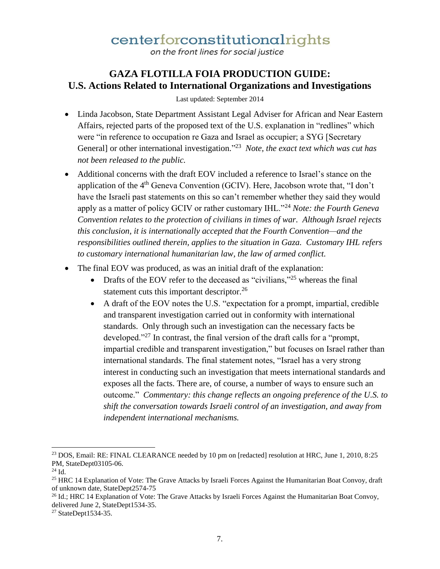on the front lines for social justice

### **GAZA FLOTILLA FOIA PRODUCTION GUIDE: U.S. Actions Related to International Organizations and Investigations**

Last updated: September 2014

- Linda Jacobson, State Department Assistant Legal Adviser for African and Near Eastern Affairs, rejected parts of the proposed text of the U.S. explanation in "redlines" which were "in reference to occupation re Gaza and Israel as occupier; a SYG [Secretary General] or other international investigation.<sup>223</sup> Note, the exact text which was cut has *not been released to the public.*
- Additional concerns with the draft EOV included a reference to Israel's stance on the application of the 4<sup>th</sup> Geneva Convention (GCIV). Here, Jacobson wrote that, "I don't have the Israeli past statements on this so can't remember whether they said they would apply as a matter of policy GCIV or rather customary IHL."<sup>24</sup> *Note: the Fourth Geneva Convention relates to the protection of civilians in times of war. Although Israel rejects this conclusion, it is internationally accepted that the Fourth Convention—and the responsibilities outlined therein, applies to the situation in Gaza. Customary IHL refers to customary international humanitarian law, the law of armed conflict.*
- The final EOV was produced, as was an initial draft of the explanation:
	- Drafts of the EOV refer to the deceased as "civilians,"<sup>25</sup> whereas the final statement cuts this important descriptor.<sup>26</sup>
	- A draft of the EOV notes the U.S. "expectation for a prompt, impartial, credible and transparent investigation carried out in conformity with international standards. Only through such an investigation can the necessary facts be developed."<sup>27</sup> In contrast, the final version of the draft calls for a "prompt, impartial credible and transparent investigation," but focuses on Israel rather than international standards. The final statement notes, "Israel has a very strong interest in conducting such an investigation that meets international standards and exposes all the facts. There are, of course, a number of ways to ensure such an outcome." *Commentary: this change reflects an ongoing preference of the U.S. to shift the conversation towards Israeli control of an investigation, and away from independent international mechanisms.*

 $\overline{a}$ 

<sup>&</sup>lt;sup>23</sup> DOS, Email: RE: FINAL CLEARANCE needed by 10 pm on [redacted] resolution at HRC, June 1, 2010, 8:25 PM, StateDept03105-06.

<sup>24</sup> Id.

<sup>&</sup>lt;sup>25</sup> HRC 14 Explanation of Vote: The Grave Attacks by Israeli Forces Against the Humanitarian Boat Convoy, draft of unknown date, StateDept2574-75

<sup>&</sup>lt;sup>26</sup> Id.; HRC 14 Explanation of Vote: The Grave Attacks by Israeli Forces Against the Humanitarian Boat Convoy, delivered June 2, StateDept1534-35.

<sup>&</sup>lt;sup>27</sup> StateDept1534-35.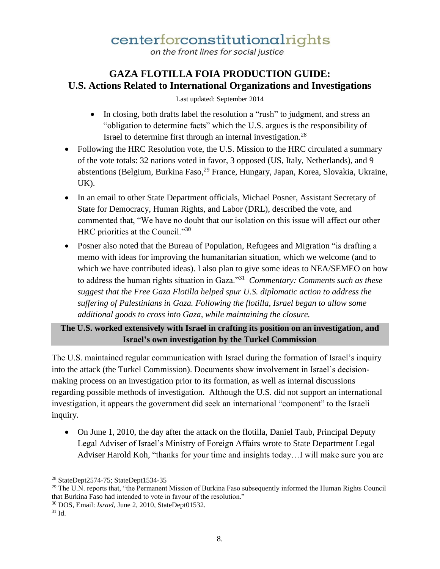on the front lines for social justice

### **GAZA FLOTILLA FOIA PRODUCTION GUIDE: U.S. Actions Related to International Organizations and Investigations**

Last updated: September 2014

- In closing, both drafts label the resolution a "rush" to judgment, and stress an "obligation to determine facts" which the U.S. argues is the responsibility of Israel to determine first through an internal investigation.<sup>28</sup>
- Following the HRC Resolution vote, the U.S. Mission to the HRC circulated a summary of the vote totals: 32 nations voted in favor, 3 opposed (US, Italy, Netherlands), and 9 abstentions (Belgium, Burkina Faso, <sup>29</sup> France, Hungary, Japan, Korea, Slovakia, Ukraine, UK).
- In an email to other State Department officials, Michael Posner, Assistant Secretary of State for Democracy, Human Rights, and Labor (DRL), described the vote, and commented that, "We have no doubt that our isolation on this issue will affect our other HRC priorities at the Council."30
- Posner also noted that the Bureau of Population, Refugees and Migration "is drafting a memo with ideas for improving the humanitarian situation, which we welcome (and to which we have contributed ideas). I also plan to give some ideas to NEA/SEMEO on how to address the human rights situation in Gaza."<sup>31</sup> *Commentary: Comments such as these suggest that the Free Gaza Flotilla helped spur U.S. diplomatic action to address the suffering of Palestinians in Gaza. Following the flotilla, Israel began to allow some additional goods to cross into Gaza, while maintaining the closure.*

#### **The U.S. worked extensively with Israel in crafting its position on an investigation, and Israel's own investigation by the Turkel Commission**

The U.S. maintained regular communication with Israel during the formation of Israel's inquiry into the attack (the Turkel Commission). Documents show involvement in Israel's decisionmaking process on an investigation prior to its formation, as well as internal discussions regarding possible methods of investigation. Although the U.S. did not support an international investigation, it appears the government did seek an international "component" to the Israeli inquiry.

 On June 1, 2010, the day after the attack on the flotilla, Daniel Taub, Principal Deputy Legal Adviser of Israel's Ministry of Foreign Affairs wrote to State Department Legal Adviser Harold Koh, "thanks for your time and insights today…I will make sure you are

 $\overline{a}$ <sup>28</sup> StateDept2574-75; StateDept1534-35

<sup>&</sup>lt;sup>29</sup> The U.N. reports that, "the Permanent Mission of Burkina Faso subsequently informed the Human Rights Council that Burkina Faso had intended to vote in favour of the resolution."

<sup>30</sup> DOS, Email: *Israel,* June 2, 2010, StateDept01532.

 $31$  Id.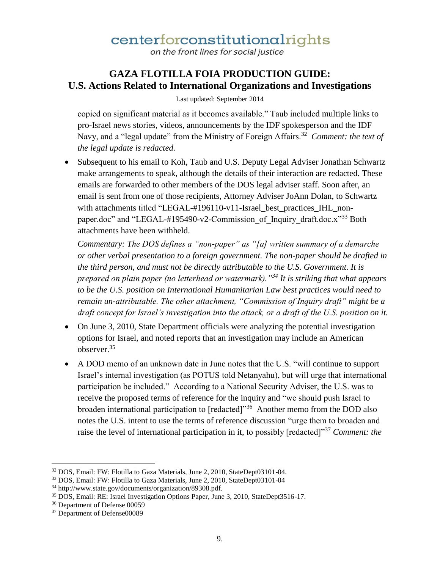on the front lines for social justice

### **GAZA FLOTILLA FOIA PRODUCTION GUIDE: U.S. Actions Related to International Organizations and Investigations**

Last updated: September 2014

copied on significant material as it becomes available." Taub included multiple links to pro-Israel news stories, videos, announcements by the IDF spokesperson and the IDF Navy, and a "legal update" from the Ministry of Foreign Affairs.<sup>32</sup> Comment: the text of *the legal update is redacted.*

• Subsequent to his email to Koh, Taub and U.S. Deputy Legal Adviser Jonathan Schwartz make arrangements to speak, although the details of their interaction are redacted. These emails are forwarded to other members of the DOS legal adviser staff. Soon after, an email is sent from one of those recipients, Attorney Adviser JoAnn Dolan, to Schwartz with attachments titled "LEGAL-#196110-v11-Israel\_best\_practices\_IHL\_nonpaper.doc" and "LEGAL-#195490-v2-Commission of Inquiry draft.doc.x"<sup>33</sup> Both attachments have been withheld.

*Commentary: The DOS defines a "non-paper" as "[a] written summary of a demarche or other verbal presentation to a foreign government. The non-paper should be drafted in the third person, and must not be directly attributable to the U.S. Government. It is prepared on plain paper (no letterhead or watermark)."<sup>34</sup> It is striking that what appears to be the U.S. position on International Humanitarian Law best practices would need to remain un-attributable. The other attachment, "Commission of Inquiry draft" might be a draft concept for Israel's investigation into the attack, or a draft of the U.S. position on it.* 

- On June 3, 2010, State Department officials were analyzing the potential investigation options for Israel, and noted reports that an investigation may include an American observer.<sup>35</sup>
- A DOD memo of an unknown date in June notes that the U.S. "will continue to support Israel's internal investigation (as POTUS told Netanyahu), but will urge that international participation be included." According to a National Security Adviser, the U.S. was to receive the proposed terms of reference for the inquiry and "we should push Israel to broaden international participation to [redacted]<sup>356</sup> Another memo from the DOD also notes the U.S. intent to use the terms of reference discussion "urge them to broaden and raise the level of international participation in it, to possibly [redacted]"<sup>37</sup> *Comment: the*

l

<sup>32</sup> DOS, Email: FW: Flotilla to Gaza Materials, June 2, 2010, StateDept03101-04.

<sup>33</sup> DOS, Email: FW: Flotilla to Gaza Materials, June 2, 2010, StateDept03101-04

<sup>34</sup> http://www.state.gov/documents/organization/89308.pdf.

<sup>35</sup> DOS, Email: RE: Israel Investigation Options Paper, June 3, 2010, StateDept3516-17.

<sup>36</sup> Department of Defense 00059

<sup>&</sup>lt;sup>37</sup> Department of Defense00089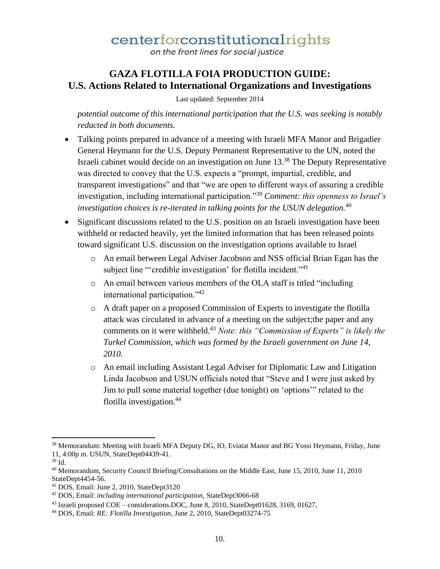on the front lines for social justice

### **GAZA FLOTILLA FOIA PRODUCTION GUIDE: U.S. Actions Related to International Organizations and Investigations**

Last updated: September 2014

*potential outcome of this international participation that the U.S. was seeking is notably redacted in both documents.* 

- Talking points prepared in advance of a meeting with Israeli MFA Manor and Brigadier General Heymann for the U.S. Deputy Permanent Representative to the UN, noted the Israeli cabinet would decide on an investigation on June 13.<sup>38</sup> The Deputy Representative was directed to convey that the U.S. expects a "prompt, impartial, credible, and transparent investigations" and that "we are open to different ways of assuring a credible investigation, including international participation."<sup>39</sup> *Comment: this openness to Israel's investigation choices is re-iterated in talking points for the USUN delegation.*<sup>40</sup>
- Significant discussions related to the U.S. position on an Israeli investigation have been withheld or redacted heavily, yet the limited information that has been released points toward significant U.S. discussion on the investigation options available to Israel
	- o An email between Legal Adviser Jacobson and NSS official Brian Egan has the subject line "'credible investigation' for flotilla incident."<sup>41</sup>
	- o An email between various members of the OLA staff is titled "including international participation."<sup>42</sup>
	- o A draft paper on a proposed Commission of Experts to investigate the flotilla attack was circulated in advance of a meeting on the subject;the paper and any comments on it were withheld.<sup>43</sup> *Note: this "Commission of Experts" is likely the Turkel Commission, which was formed by the Israeli government on June 14, 2010.*
	- o An email including Assistant Legal Adviser for Diplomatic Law and Litigation Linda Jacobson and USUN officials noted that "Steve and I were just asked by Jim to pull some material together (due tonight) on 'options'" related to the flotilla investigation.<sup>44</sup>

<sup>&</sup>lt;sup>38</sup> Memorandum: Meeting with Israeli MFA Deputy DG, IO, Eviatat Manor and BG Yossi Heymann, Friday, June 11, 4:00p m. USUN, StateDept04439-41.

<sup>39</sup> Id.

<sup>40</sup> Memorandum, Security Council Briefing/Consultations on the Middle East, June 15, 2010, June 11, 2010 StateDept4454-56.

<sup>41</sup> DOS, Email: June 2, 2010, StateDept3120

<sup>42</sup> DOS, Email: *including international participation,* StateDept3066-68

<sup>43</sup> Israeli proposed COE – considerations.DOC, June 8, 2010, StateDept01628, 3169, 01627,

<sup>44</sup> DOS, Email: *RE: Flotilla Investigation*, June 2, 2010, StateDept03274-75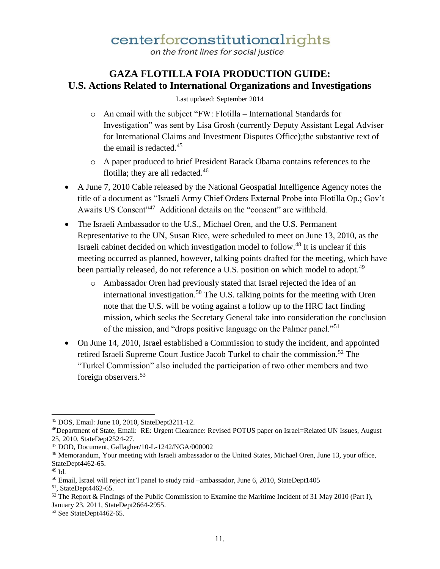on the front lines for social justice

#### **GAZA FLOTILLA FOIA PRODUCTION GUIDE: U.S. Actions Related to International Organizations and Investigations**

Last updated: September 2014

- o An email with the subject "FW: Flotilla International Standards for Investigation" was sent by Lisa Grosh (currently Deputy Assistant Legal Adviser for International Claims and Investment Disputes Office);the substantive text of the email is redacted.<sup>45</sup>
- o A paper produced to brief President Barack Obama contains references to the flotilla; they are all redacted.<sup>46</sup>
- A June 7, 2010 Cable released by the National Geospatial Intelligence Agency notes the title of a document as "Israeli Army Chief Orders External Probe into Flotilla Op.; Gov't Awaits US Consent"<sup>47</sup> Additional details on the "consent" are withheld.
- The Israeli Ambassador to the U.S., Michael Oren, and the U.S. Permanent Representative to the UN, Susan Rice, were scheduled to meet on June 13, 2010, as the Israeli cabinet decided on which investigation model to follow.<sup>48</sup> It is unclear if this meeting occurred as planned, however, talking points drafted for the meeting, which have been partially released, do not reference a U.S. position on which model to adopt.<sup>49</sup>
	- o Ambassador Oren had previously stated that Israel rejected the idea of an international investigation.<sup>50</sup> The U.S. talking points for the meeting with Oren note that the U.S. will be voting against a follow up to the HRC fact finding mission, which seeks the Secretary General take into consideration the conclusion of the mission, and "drops positive language on the Palmer panel."<sup>51</sup>
- On June 14, 2010, Israel established a Commission to study the incident, and appointed retired Israeli Supreme Court Justice Jacob Turkel to chair the commission.<sup>52</sup> The "Turkel Commission" also included the participation of two other members and two foreign observers.<sup>53</sup>

 $\overline{a}$ <sup>45</sup> DOS, Email: June 10, 2010, StateDept3211-12.

<sup>46</sup>Department of State, Email: RE: Urgent Clearance: Revised POTUS paper on Israel=Related UN Issues, August 25, 2010, StateDept2524-27.

<sup>47</sup> DOD, Document, Gallagher/10-L-1242/NGA/000002

<sup>&</sup>lt;sup>48</sup> Memorandum, Your meeting with Israeli ambassador to the United States, Michael Oren, June 13, vour office, StateDept4462-65.

<sup>49</sup> Id.

<sup>&</sup>lt;sup>50</sup> Email, Israel will reject int'l panel to study raid –ambassador, June 6, 2010, StateDept1405

 $51$ , StateDept4462-65.

 $52$  The Report & Findings of the Public Commission to Examine the Maritime Incident of 31 May 2010 (Part I), January 23, 2011, StateDept2664-2955.

<sup>53</sup> See StateDept4462-65.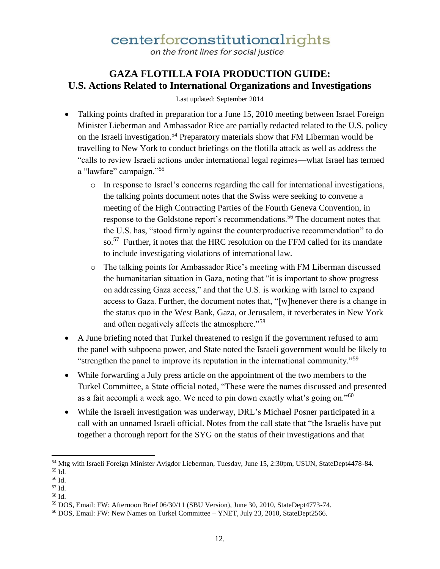on the front lines for social justice

### **GAZA FLOTILLA FOIA PRODUCTION GUIDE: U.S. Actions Related to International Organizations and Investigations**

Last updated: September 2014

- Talking points drafted in preparation for a June 15, 2010 meeting between Israel Foreign Minister Lieberman and Ambassador Rice are partially redacted related to the U.S. policy on the Israeli investigation.<sup>54</sup> Preparatory materials show that FM Liberman would be travelling to New York to conduct briefings on the flotilla attack as well as address the "calls to review Israeli actions under international legal regimes—what Israel has termed a "lawfare" campaign."<sup>55</sup>
	- o In response to Israel's concerns regarding the call for international investigations, the talking points document notes that the Swiss were seeking to convene a meeting of the High Contracting Parties of the Fourth Geneva Convention, in response to the Goldstone report's recommendations.<sup>56</sup> The document notes that the U.S. has, "stood firmly against the counterproductive recommendation" to do so.<sup>57</sup> Further, it notes that the HRC resolution on the FFM called for its mandate to include investigating violations of international law.
	- o The talking points for Ambassador Rice's meeting with FM Liberman discussed the humanitarian situation in Gaza, noting that "it is important to show progress on addressing Gaza access," and that the U.S. is working with Israel to expand access to Gaza. Further, the document notes that, "[w]henever there is a change in the status quo in the West Bank, Gaza, or Jerusalem, it reverberates in New York and often negatively affects the atmosphere."<sup>58</sup>
- A June briefing noted that Turkel threatened to resign if the government refused to arm the panel with subpoena power, and State noted the Israeli government would be likely to "strengthen the panel to improve its reputation in the international community."<sup>59</sup>
- While forwarding a July press article on the appointment of the two members to the Turkel Committee, a State official noted, "These were the names discussed and presented as a fait accompli a week ago. We need to pin down exactly what's going on."<sup>60</sup>
- While the Israeli investigation was underway, DRL's Michael Posner participated in a call with an unnamed Israeli official. Notes from the call state that "the Israelis have put together a thorough report for the SYG on the status of their investigations and that

 $\overline{\phantom{a}}$ <sup>54</sup> Mtg with Israeli Foreign Minister Avigdor Lieberman, Tuesday, June 15, 2:30pm, USUN, StateDept4478-84.  $55$  Id.

<sup>56</sup> Id.

<sup>57</sup> Id.

<sup>58</sup> Id.

<sup>59</sup> DOS, Email: FW: Afternoon Brief 06/30/11 (SBU Version), June 30, 2010, StateDept4773-74.

 $60$  DOS, Email: FW: New Names on Turkel Committee – YNET, July 23, 2010, StateDept2566.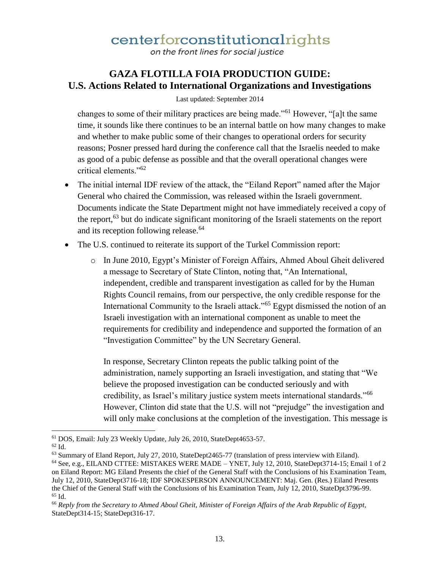on the front lines for social justice

### **GAZA FLOTILLA FOIA PRODUCTION GUIDE: U.S. Actions Related to International Organizations and Investigations**

#### Last updated: September 2014

changes to some of their military practices are being made."<sup>61</sup> However, "[a]t the same time, it sounds like there continues to be an internal battle on how many changes to make and whether to make public some of their changes to operational orders for security reasons; Posner pressed hard during the conference call that the Israelis needed to make as good of a pubic defense as possible and that the overall operational changes were critical elements."<sup>62</sup>

- The initial internal IDF review of the attack, the "Eiland Report" named after the Major General who chaired the Commission, was released within the Israeli government. Documents indicate the State Department might not have immediately received a copy of the report,<sup>63</sup> but do indicate significant monitoring of the Israeli statements on the report and its reception following release.<sup>64</sup>
- The U.S. continued to reiterate its support of the Turkel Commission report:
	- o In June 2010, Egypt's Minister of Foreign Affairs, Ahmed Aboul Gheit delivered a message to Secretary of State Clinton, noting that, "An International, independent, credible and transparent investigation as called for by the Human Rights Council remains, from our perspective, the only credible response for the International Community to the Israeli attack."<sup>65</sup> Egypt dismissed the notion of an Israeli investigation with an international component as unable to meet the requirements for credibility and independence and supported the formation of an "Investigation Committee" by the UN Secretary General.

In response, Secretary Clinton repeats the public talking point of the administration, namely supporting an Israeli investigation, and stating that "We believe the proposed investigation can be conducted seriously and with credibility, as Israel's military justice system meets international standards."<sup>66</sup> However, Clinton did state that the U.S. will not "prejudge" the investigation and will only make conclusions at the completion of the investigation. This message is

 $\overline{\phantom{a}}$ <sup>61</sup> DOS, Email: July 23 Weekly Update, July 26, 2010, StateDept4653-57.

<sup>62</sup> Id.

<sup>63</sup> Summary of Eland Report, July 27, 2010, StateDept2465-77 (translation of press interview with Eiland).

<sup>64</sup> See, e.g., EILAND CTTEE: MISTAKES WERE MADE – YNET, July 12, 2010, StateDept3714-15; Email 1 of 2 on Eiland Report: MG Eiland Presents the chief of the General Staff with the Conclusions of his Examination Team, July 12, 2010, StateDept3716-18; IDF SPOKESPERSON ANNOUNCEMENT: Maj. Gen. (Res.) Eiland Presents the Chief of the General Staff with the Conclusions of his Examination Team, July 12, 2010, StateDpt3796-99.  $65$  Id.

<sup>66</sup> *Reply from the Secretary to Ahmed Aboul Gheit, Minister of Foreign Affairs of the Arab Republic of Egypt,*  StateDept314-15; StateDept316-17.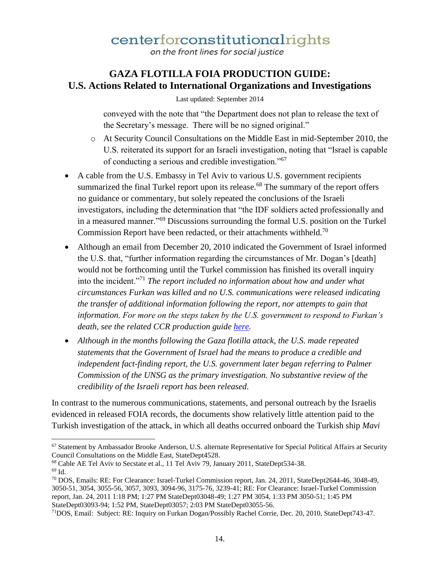on the front lines for social justice

#### **GAZA FLOTILLA FOIA PRODUCTION GUIDE: U.S. Actions Related to International Organizations and Investigations**

Last updated: September 2014

conveyed with the note that "the Department does not plan to release the text of the Secretary's message. There will be no signed original."

- o At Security Council Consultations on the Middle East in mid-September 2010, the U.S. reiterated its support for an Israeli investigation, noting that "Israel is capable of conducting a serious and credible investigation."<sup>67</sup>
- A cable from the U.S. Embassy in Tel Aviv to various U.S. government recipients summarized the final Turkel report upon its release.<sup>68</sup> The summary of the report offers no guidance or commentary, but solely repeated the conclusions of the Israeli investigators, including the determination that "the IDF soldiers acted professionally and in a measured manner."<sup>69</sup> Discussions surrounding the formal U.S. position on the Turkel Commission Report have been redacted, or their attachments withheld.<sup>70</sup>
- Although an email from December 20, 2010 indicated the Government of Israel informed the U.S. that, "further information regarding the circumstances of Mr. Dogan's [death] would not be forthcoming until the Turkel commission has finished its overall inquiry into the incident."<sup>71</sup> *The report included no information about how and under what circumstances Furkan was killed and no U.S. communications were released indicating the transfer of additional information following the report, nor attempts to gain that information. For more on the steps taken by the U.S. government to respond to Furkan's death, see the related CCR production guide here.*
- *Although in the months following the Gaza flotilla attack, the U.S. made repeated statements that the Government of Israel had the means to produce a credible and independent fact-finding report, the U.S. government later began referring to Palmer Commission of the UNSG as the primary investigation. No substantive review of the credibility of the Israeli report has been released.*

In contrast to the numerous communications, statements, and personal outreach by the Israelis evidenced in released FOIA records, the documents show relatively little attention paid to the Turkish investigation of the attack, in which all deaths occurred onboard the Turkish ship *Mavi* 

<sup>67</sup> Statement by Ambassador Brooke Anderson, U.S. alternate Representative for Special Political Affairs at Security Council Consultations on the Middle East, StateDept4528.

<sup>68</sup> Cable AE Tel Aviv to Secstate et al., 11 Tel Aviv 79, January 2011, StateDept534-38. <sup>69</sup> Id.

<sup>70</sup> DOS, Emails: RE: For Clearance: Israel-Turkel Commission report, Jan. 24, 2011, StateDept2644-46, 3048-49, 3050-51, 3054, 3055-56, 3057, 3093, 3094-96, 3175-76, 3239-41; RE: For Clearance: Israel-Turkel Commission report, Jan. 24, 2011 1:18 PM; 1:27 PM StateDept03048-49; 1:27 PM 3054, 1:33 PM 3050-51; 1:45 PM StateDept03093-94; 1:52 PM, StateDept03057; 2:03 PM StateDept03055-56.

<sup>71</sup>DOS, Email: Subject: RE: Inquiry on Furkan Dogan/Possibly Rachel Corrie, Dec. 20, 2010, StateDept743-47.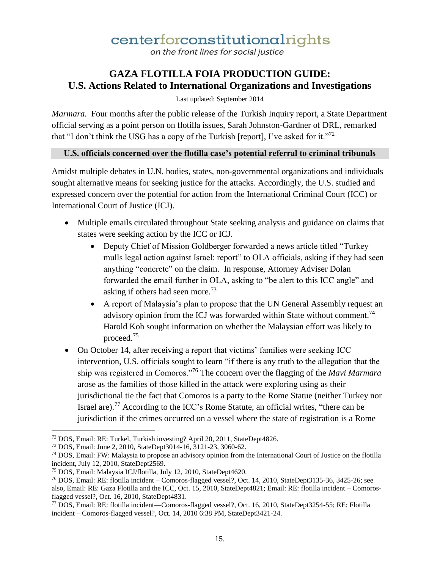on the front lines for social justice

### **GAZA FLOTILLA FOIA PRODUCTION GUIDE: U.S. Actions Related to International Organizations and Investigations**

Last updated: September 2014

*Marmara.* Four months after the public release of the Turkish Inquiry report, a State Department official serving as a point person on flotilla issues, Sarah Johnston-Gardner of DRL, remarked that "I don't think the USG has a copy of the Turkish [report], I've asked for it."<sup>72</sup>

#### **U.S. officials concerned over the flotilla case's potential referral to criminal tribunals**

Amidst multiple debates in U.N. bodies, states, non-governmental organizations and individuals sought alternative means for seeking justice for the attacks. Accordingly, the U.S. studied and expressed concern over the potential for action from the International Criminal Court (ICC) or International Court of Justice (ICJ).

- Multiple emails circulated throughout State seeking analysis and guidance on claims that states were seeking action by the ICC or ICJ.
	- Deputy Chief of Mission Goldberger forwarded a news article titled "Turkey" mulls legal action against Israel: report" to OLA officials, asking if they had seen anything "concrete" on the claim. In response, Attorney Adviser Dolan forwarded the email further in OLA, asking to "be alert to this ICC angle" and asking if others had seen more.<sup>73</sup>
	- A report of Malaysia's plan to propose that the UN General Assembly request an advisory opinion from the ICJ was forwarded within State without comment.<sup>74</sup> Harold Koh sought information on whether the Malaysian effort was likely to proceed.<sup>75</sup>
- On October 14, after receiving a report that victims' families were seeking ICC intervention, U.S. officials sought to learn "if there is any truth to the allegation that the ship was registered in Comoros."<sup>76</sup> The concern over the flagging of the *Mavi Marmara* arose as the families of those killed in the attack were exploring using as their jurisdictional tie the fact that Comoros is a party to the Rome Statue (neither Turkey nor Israel are).<sup>77</sup> According to the ICC's Rome Statute, an official writes, "there can be jurisdiction if the crimes occurred on a vessel where the state of registration is a Rome

<sup>72</sup> DOS, Email: RE: Turkel, Turkish investing? April 20, 2011, StateDept4826.

<sup>73</sup> DOS, Email: June 2, 2010, StateDept3014-16, 3121-23, 3060-62.

<sup>74</sup> DOS, Email: FW: Malaysia to propose an advisory opinion from the International Court of Justice on the flotilla incident, July 12, 2010, StateDept2569.

<sup>75</sup> DOS, Email: Malaysia ICJ/flotilla, July 12, 2010, StateDept4620.

<sup>76</sup> DOS, Email: RE: flotilla incident – Comoros-flagged vessel?, Oct. 14, 2010, StateDept3135-36, 3425-26; see also, Email: RE: Gaza Flotilla and the ICC, Oct. 15, 2010, StateDept4821; Email: RE: flotilla incident – Comorosflagged vessel?, Oct. 16, 2010, StateDept4831.

<sup>77</sup> DOS, Email: RE: flotilla incident—Comoros-flagged vessel?, Oct. 16, 2010, StateDept3254-55; RE: Flotilla incident – Comoros-flagged vessel?, Oct. 14, 2010 6:38 PM, StateDept3421-24.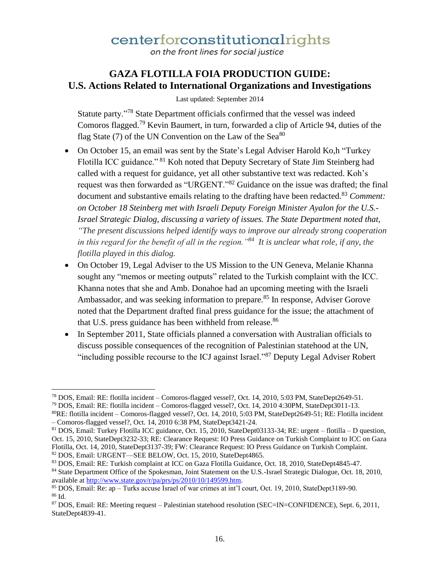on the front lines for social justice

### **GAZA FLOTILLA FOIA PRODUCTION GUIDE: U.S. Actions Related to International Organizations and Investigations**

Last updated: September 2014

Statute party."<sup>78</sup> State Department officials confirmed that the vessel was indeed Comoros flagged.<sup>79</sup> Kevin Baumert, in turn, forwarded a clip of Article 94, duties of the flag State (7) of the UN Convention on the Law of the Sea $^{80}$ 

- On October 15, an email was sent by the State's Legal Adviser Harold Ko,h "Turkey Flotilla ICC guidance." <sup>81</sup> Koh noted that Deputy Secretary of State Jim Steinberg had called with a request for guidance, yet all other substantive text was redacted. Koh's request was then forwarded as "URGENT."<sup>82</sup> Guidance on the issue was drafted; the final document and substantive emails relating to the drafting have been redacted.<sup>83</sup> *Comment: on October 18 Steinberg met with Israeli Deputy Foreign Minister Ayalon for the U.S.- Israel Strategic Dialog, discussing a variety of issues. The State Department noted that, "The present discussions helped identify ways to improve our already strong cooperation in this regard for the benefit of all in the region."<sup>84</sup> It is unclear what role, if any, the flotilla played in this dialog.*
- On October 19, Legal Adviser to the US Mission to the UN Geneva, Melanie Khanna sought any "memos or meeting outputs" related to the Turkish complaint with the ICC. Khanna notes that she and Amb. Donahoe had an upcoming meeting with the Israeli Ambassador, and was seeking information to prepare.<sup>85</sup> In response, Adviser Gorove noted that the Department drafted final press guidance for the issue; the attachment of that U.S. press guidance has been withheld from release.<sup>86</sup>
- In September 2011, State officials planned a conversation with Australian officials to discuss possible consequences of the recognition of Palestinian statehood at the UN, "including possible recourse to the ICJ against Israel."<sup>87</sup> Deputy Legal Adviser Robert

l <sup>78</sup> DOS, Email: RE: flotilla incident – Comoros-flagged vessel?, Oct. 14, 2010, 5:03 PM, StateDept2649-51.

<sup>79</sup> DOS, Email: RE: flotilla incident – Comoros-flagged vessel?, Oct. 14, 2010 4:30PM, StateDept3011-13.

<sup>80</sup>RE: flotilla incident – Comoros-flagged vessel?, Oct. 14, 2010, 5:03 PM, StateDept2649-51; RE: Flotilla incident – Comoros-flagged vessel?, Oct. 14, 2010 6:38 PM, StateDept3421-24.

<sup>81</sup> DOS, Email: Turkey Flotilla ICC guidance, Oct. 15, 2010, StateDept03133-34; RE: urgent – flotilla – D question, Oct. 15, 2010, StateDept3232-33; RE: Clearance Request: IO Press Guidance on Turkish Complaint to ICC on Gaza Flotilla, Oct. 14, 2010, StateDept3137-39; FW: Clearance Request: IO Press Guidance on Turkish Complaint. <sup>82</sup> DOS, Email: URGENT—SEE BELOW, Oct. 15, 2010, StateDept4865.

<sup>83</sup> DOS, Email: RE: Turkish complaint at ICC on Gaza Flotilla Guidance, Oct. 18, 2010, StateDept4845-47.

<sup>&</sup>lt;sup>84</sup> State Department Office of the Spokesman, Joint Statement on the U.S.-Israel Strategic Dialogue, Oct. 18, 2010, available at http://www.state.gov/r/pa/prs/ps/2010/10/149599.htm.

<sup>85</sup> DOS, Email: Re: ap – Turks accuse Israel of war crimes at int'l court, Oct. 19, 2010, StateDept3189-90. <sup>86</sup> Id.

<sup>87</sup> DOS, Email: RE: Meeting request – Palestinian statehood resolution (SEC=IN=CONFIDENCE), Sept. 6, 2011, StateDept4839-41.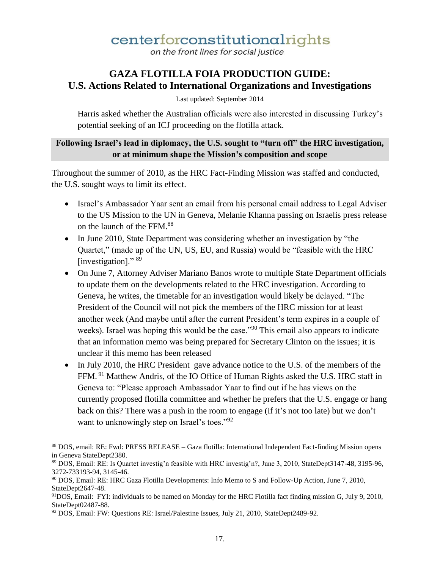on the front lines for social justice

### **GAZA FLOTILLA FOIA PRODUCTION GUIDE: U.S. Actions Related to International Organizations and Investigations**

Last updated: September 2014

Harris asked whether the Australian officials were also interested in discussing Turkey's potential seeking of an ICJ proceeding on the flotilla attack.

#### **Following Israel's lead in diplomacy, the U.S. sought to "turn off" the HRC investigation, or at minimum shape the Mission's composition and scope**

Throughout the summer of 2010, as the HRC Fact-Finding Mission was staffed and conducted, the U.S. sought ways to limit its effect.

- Israel's Ambassador Yaar sent an email from his personal email address to Legal Adviser to the US Mission to the UN in Geneva, Melanie Khanna passing on Israelis press release on the launch of the FFM.<sup>88</sup>
- In June 2010, State Department was considering whether an investigation by "the Quartet," (made up of the UN, US, EU, and Russia) would be "feasible with the HRC [investigation]." <sup>89</sup>
- On June 7, Attorney Adviser Mariano Banos wrote to multiple State Department officials to update them on the developments related to the HRC investigation. According to Geneva, he writes, the timetable for an investigation would likely be delayed. "The President of the Council will not pick the members of the HRC mission for at least another week (And maybe until after the current President's term expires in a couple of weeks). Israel was hoping this would be the case."<sup>90</sup> This email also appears to indicate that an information memo was being prepared for Secretary Clinton on the issues; it is unclear if this memo has been released
- In July 2010, the HRC President gave advance notice to the U.S. of the members of the FFM.<sup>91</sup> Matthew Andris, of the IO Office of Human Rights asked the U.S. HRC staff in Geneva to: "Please approach Ambassador Yaar to find out if he has views on the currently proposed flotilla committee and whether he prefers that the U.S. engage or hang back on this? There was a push in the room to engage (if it's not too late) but we don't want to unknowingly step on Israel's toes."<sup>92</sup>

<sup>88</sup> DOS, email: RE: Fwd: PRESS RELEASE – Gaza flotilla: International Independent Fact-finding Mission opens in Geneva StateDept2380.

<sup>89</sup> DOS, Email: RE: Is Quartet investig'n feasible with HRC investig'n?, June 3, 2010, StateDept3147-48, 3195-96, 3272-733193-94, 3145-46.

<sup>90</sup> DOS, Email: RE: HRC Gaza Flotilla Developments: Info Memo to S and Follow-Up Action, June 7, 2010, StateDept2647-48.

<sup>91</sup>DOS, Email: FYI: individuals to be named on Monday for the HRC Flotilla fact finding mission G, July 9, 2010, StateDept02487-88.

<sup>&</sup>lt;sup>92</sup> DOS, Email: FW: Questions RE: Israel/Palestine Issues, July 21, 2010, StateDept2489-92.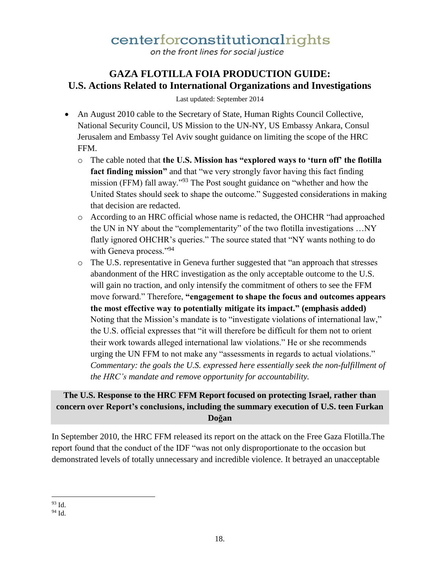on the front lines for social justice

### **GAZA FLOTILLA FOIA PRODUCTION GUIDE: U.S. Actions Related to International Organizations and Investigations**

Last updated: September 2014

- An August 2010 cable to the Secretary of State, Human Rights Council Collective, National Security Council, US Mission to the UN-NY, US Embassy Ankara, Consul Jerusalem and Embassy Tel Aviv sought guidance on limiting the scope of the HRC FFM.
	- o The cable noted that **the U.S. Mission has "explored ways to 'turn off' the flotilla fact finding mission"** and that "we very strongly favor having this fact finding mission (FFM) fall away."<sup>93</sup> The Post sought guidance on "whether and how the United States should seek to shape the outcome." Suggested considerations in making that decision are redacted.
	- o According to an HRC official whose name is redacted, the OHCHR "had approached the UN in NY about the "complementarity" of the two flotilla investigations …NY flatly ignored OHCHR's queries." The source stated that "NY wants nothing to do with Geneva process."<sup>94</sup>
	- o The U.S. representative in Geneva further suggested that "an approach that stresses abandonment of the HRC investigation as the only acceptable outcome to the U.S. will gain no traction, and only intensify the commitment of others to see the FFM move forward." Therefore, **"engagement to shape the focus and outcomes appears the most effective way to potentially mitigate its impact." (emphasis added)** Noting that the Mission's mandate is to "investigate violations of international law," the U.S. official expresses that "it will therefore be difficult for them not to orient their work towards alleged international law violations." He or she recommends urging the UN FFM to not make any "assessments in regards to actual violations." *Commentary: the goals the U.S. expressed here essentially seek the non-fulfillment of the HRC's mandate and remove opportunity for accountability.*

#### **The U.S. Response to the HRC FFM Report focused on protecting Israel, rather than concern over Report's conclusions, including the summary execution of U.S. teen Furkan Doğan**

In September 2010, the HRC FFM released its report on the attack on the Free Gaza Flotilla.The report found that the conduct of the IDF "was not only disproportionate to the occasion but demonstrated levels of totally unnecessary and incredible violence. It betrayed an unacceptable

 $\overline{\phantom{a}}$ <sup>93</sup> Id.

 $94$  Id.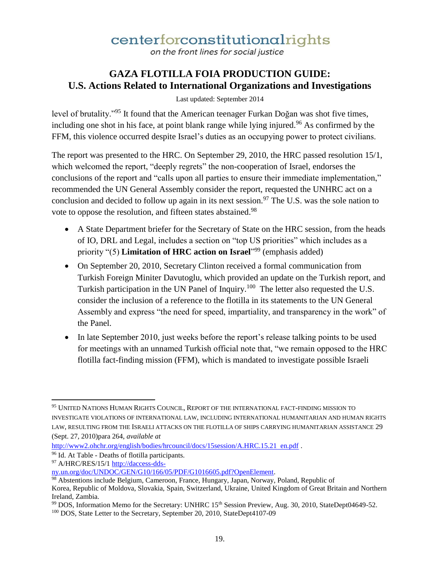on the front lines for social justice

### **GAZA FLOTILLA FOIA PRODUCTION GUIDE: U.S. Actions Related to International Organizations and Investigations**

Last updated: September 2014

level of brutality."<sup>95</sup> It found that the American teenager Furkan Doğan was shot five times, including one shot in his face, at point blank range while lying injured.<sup>96</sup> As confirmed by the FFM, this violence occurred despite Israel's duties as an occupying power to protect civilians.

The report was presented to the HRC. On September 29, 2010, the HRC passed resolution 15/1, which welcomed the report, "deeply regrets" the non-cooperation of Israel, endorses the conclusions of the report and "calls upon all parties to ensure their immediate implementation," recommended the UN General Assembly consider the report, requested the UNHRC act on a conclusion and decided to follow up again in its next session.<sup>97</sup> The U.S. was the sole nation to vote to oppose the resolution, and fifteen states abstained.<sup>98</sup>

- A State Department briefer for the Secretary of State on the HRC session, from the heads of IO, DRL and Legal, includes a section on "top US priorities" which includes as a priority "(5) **Limitation of HRC action on Israel**<sup>1999</sup> (emphasis added)
- On September 20, 2010, Secretary Clinton received a formal communication from Turkish Foreign Miniter Davutoglu, which provided an update on the Turkish report, and Turkish participation in the UN Panel of Inquiry.<sup>100</sup> The letter also requested the U.S. consider the inclusion of a reference to the flotilla in its statements to the UN General Assembly and express "the need for speed, impartiality, and transparency in the work" of the Panel.
- In late September 2010, just weeks before the report's release talking points to be used for meetings with an unnamed Turkish official note that, "we remain opposed to the HRC flotilla fact-finding mission (FFM), which is mandated to investigate possible Israeli

 $\overline{\phantom{a}}$ <sup>95</sup> UNITED NATIONS HUMAN RIGHTS COUNCIL, REPORT OF THE INTERNATIONAL FACT-FINDING MISSION TO INVESTIGATE VIOLATIONS OF INTERNATIONAL LAW, INCLUDING INTERNATIONAL HUMANITARIAN AND HUMAN RIGHTS LAW, RESULTING FROM THE ISRAELI ATTACKS ON THE FLOTILLA OF SHIPS CARRYING HUMANITARIAN ASSISTANCE 29 (Sept. 27, 2010)para 264, *available at*

http://www2.ohchr.org/english/bodies/hrcouncil/docs/15session/A.HRC.15.21 en.pdf.

<sup>96</sup> Id. At Table - Deaths of flotilla participants.

<sup>97</sup> A/HRC/RES/15/1 http://daccess-dds-

ny.un.org/doc/UNDOC/GEN/G10/166/05/PDF/G1016605.pdf?OpenElement.

<sup>98</sup> Abstentions include Belgium, Cameroon, France, Hungary, Japan, Norway, Poland, Republic of Korea, Republic of Moldova, Slovakia, Spain, Switzerland, Ukraine, United Kingdom of Great Britain and Northern Ireland, Zambia.

<sup>&</sup>lt;sup>99</sup> DOS, Information Memo for the Secretary: UNHRC 15<sup>th</sup> Session Preview, Aug. 30, 2010, StateDept04649-52.

<sup>100</sup> DOS, State Letter to the Secretary, September 20, 2010, StateDept4107-09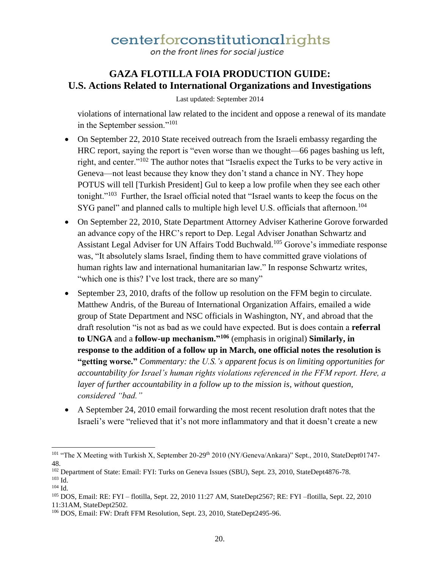on the front lines for social justice

### **GAZA FLOTILLA FOIA PRODUCTION GUIDE: U.S. Actions Related to International Organizations and Investigations**

Last updated: September 2014

violations of international law related to the incident and oppose a renewal of its mandate in the September session."<sup>101</sup>

- On September 22, 2010 State received outreach from the Israeli embassy regarding the HRC report, saying the report is "even worse than we thought—66 pages bashing us left, right, and center."<sup>102</sup> The author notes that "Israelis expect the Turks to be very active in Geneva—not least because they know they don't stand a chance in NY. They hope POTUS will tell [Turkish President] Gul to keep a low profile when they see each other tonight."<sup>103</sup> Further, the Israel official noted that "Israel wants to keep the focus on the SYG panel" and planned calls to multiple high level U.S. officials that afternoon.<sup>104</sup>
- On September 22, 2010, State Department Attorney Adviser Katherine Gorove forwarded an advance copy of the HRC's report to Dep. Legal Adviser Jonathan Schwartz and Assistant Legal Adviser for UN Affairs Todd Buchwald.<sup>105</sup> Gorove's immediate response was, "It absolutely slams Israel, finding them to have committed grave violations of human rights law and international humanitarian law." In response Schwartz writes, "which one is this? I've lost track, there are so many"
- September 23, 2010, drafts of the follow up resolution on the FFM begin to circulate. Matthew Andris, of the Bureau of International Organization Affairs, emailed a wide group of State Department and NSC officials in Washington, NY, and abroad that the draft resolution "is not as bad as we could have expected. But is does contain a **referral to UNGA** and a **follow-up mechanism."<sup>106</sup>** (emphasis in original) **Similarly, in response to the addition of a follow up in March, one official notes the resolution is "getting worse."** *Commentary: the U.S.'s apparent focus is on limiting opportunities for accountability for Israel's human rights violations referenced in the FFM report. Here, a layer of further accountability in a follow up to the mission is, without question, considered "bad."*
- A September 24, 2010 email forwarding the most recent resolution draft notes that the Israeli's were "relieved that it's not more inflammatory and that it doesn't create a new

 $\overline{a}$ 

<sup>&</sup>lt;sup>101</sup> "The X Meeting with Turkish X, September 20-29<sup>th</sup> 2010 (NY/Geneva/Ankara)" Sept., 2010, StateDept01747-48.

<sup>102</sup> Department of State: Email: FYI: Turks on Geneva Issues (SBU), Sept. 23, 2010, StateDept4876-78. <sup>103</sup> Id.

 $104$  Id.

<sup>105</sup> DOS, Email: RE: FYI – flotilla, Sept. 22, 2010 11:27 AM, StateDept2567; RE: FYI –flotilla, Sept. 22, 2010 11:31AM, StateDept2502.

<sup>106</sup> DOS, Email: FW: Draft FFM Resolution, Sept. 23, 2010, StateDept2495-96.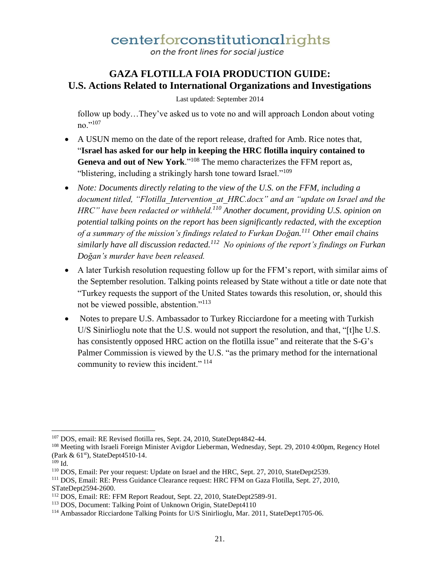on the front lines for social justice

### **GAZA FLOTILLA FOIA PRODUCTION GUIDE: U.S. Actions Related to International Organizations and Investigations**

Last updated: September 2014

follow up body…They've asked us to vote no and will approach London about voting no."107

- A USUN memo on the date of the report release, drafted for Amb. Rice notes that, "**Israel has asked for our help in keeping the HRC flotilla inquiry contained to Geneva and out of New York**."<sup>108</sup> The memo characterizes the FFM report as, "blistering, including a strikingly harsh tone toward Israel."<sup>109</sup>
- *Note: Documents directly relating to the view of the U.S. on the FFM, including a document titled, "Flotilla\_Intervention\_at\_HRC.docx" and an "update on Israel and the HRC" have been redacted or withheld.<sup>110</sup> Another document, providing U.S. opinion on potential talking points on the report has been significantly redacted, with the exception of a summary of the mission's findings related to Furkan Doğan.<sup>111</sup> Other email chains similarly have all discussion redacted.<sup>112</sup> No opinions of the report's findings on Furkan Doğan's murder have been released.*
- A later Turkish resolution requesting follow up for the FFM's report, with similar aims of the September resolution. Talking points released by State without a title or date note that "Turkey requests the support of the United States towards this resolution, or, should this not be viewed possible, abstention."<sup>113</sup>
- Notes to prepare U.S. Ambassador to Turkey Ricciardone for a meeting with Turkish U/S Sinirlioglu note that the U.S. would not support the resolution, and that, "[t]he U.S. has consistently opposed HRC action on the flotilla issue" and reiterate that the S-G's Palmer Commission is viewed by the U.S. "as the primary method for the international community to review this incident." <sup>114</sup>

<sup>107</sup> DOS, email: RE Revised flotilla res, Sept. 24, 2010, StateDept4842-44.

<sup>108</sup> Meeting with Israeli Foreign Minister Avigdor Lieberman, Wednesday, Sept. 29, 2010 4:00pm, Regency Hotel (Park  $\&$  61<sup>st</sup>), StateDept4510-14.

 $109$  Id.

<sup>110</sup> DOS, Email: Per your request: Update on Israel and the HRC, Sept. 27, 2010, StateDept2539.

<sup>111</sup> DOS, Email: RE: Press Guidance Clearance request: HRC FFM on Gaza Flotilla, Sept. 27, 2010, STateDept2594-2600.

<sup>112</sup> DOS, Email: RE: FFM Report Readout, Sept. 22, 2010, StateDept2589-91.

<sup>113</sup> DOS, Document: Talking Point of Unknown Origin, StateDept4110

<sup>114</sup> Ambassador Ricciardone Talking Points for U/S Sinirlioglu, Mar. 2011, StateDept1705-06.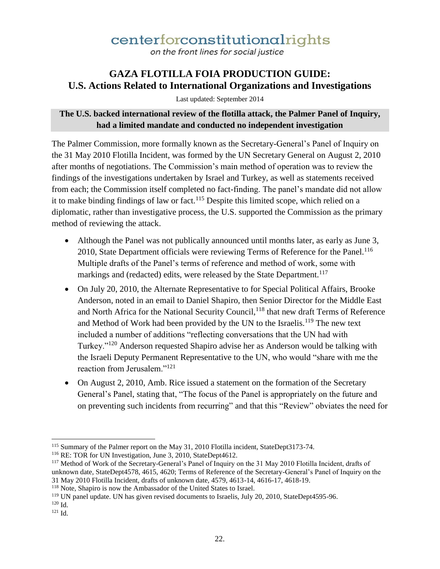on the front lines for social justice

### **GAZA FLOTILLA FOIA PRODUCTION GUIDE: U.S. Actions Related to International Organizations and Investigations**

Last updated: September 2014

#### **The U.S. backed international review of the flotilla attack, the Palmer Panel of Inquiry, had a limited mandate and conducted no independent investigation**

The Palmer Commission, more formally known as the Secretary-General's Panel of Inquiry on the 31 May 2010 Flotilla Incident, was formed by the UN Secretary General on August 2, 2010 after months of negotiations. The Commission's main method of operation was to review the findings of the investigations undertaken by Israel and Turkey, as well as statements received from each; the Commission itself completed no fact-finding. The panel's mandate did not allow it to make binding findings of law or fact.<sup>115</sup> Despite this limited scope, which relied on a diplomatic, rather than investigative process, the U.S. supported the Commission as the primary method of reviewing the attack.

- Although the Panel was not publically announced until months later, as early as June 3, 2010, State Department officials were reviewing Terms of Reference for the Panel.<sup>116</sup> Multiple drafts of the Panel's terms of reference and method of work, some with markings and (redacted) edits, were released by the State Department.<sup>117</sup>
- On July 20, 2010, the Alternate Representative to for Special Political Affairs, Brooke Anderson, noted in an email to Daniel Shapiro, then Senior Director for the Middle East and North Africa for the National Security Council,<sup>118</sup> that new draft Terms of Reference and Method of Work had been provided by the UN to the Israelis.<sup>119</sup> The new text included a number of additions "reflecting conversations that the UN had with Turkey."<sup>120</sup> Anderson requested Shapiro advise her as Anderson would be talking with the Israeli Deputy Permanent Representative to the UN, who would "share with me the reaction from Jerusalem."<sup>121</sup>
- On August 2, 2010, Amb. Rice issued a statement on the formation of the Secretary General's Panel, stating that, "The focus of the Panel is appropriately on the future and on preventing such incidents from recurring" and that this "Review" obviates the need for

<sup>115</sup> Summary of the Palmer report on the May 31, 2010 Flotilla incident, StateDept3173-74.

<sup>&</sup>lt;sup>116</sup> RE: TOR for UN Investigation, June 3, 2010, StateDept4612.

<sup>117</sup> Method of Work of the Secretary-General's Panel of Inquiry on the 31 May 2010 Flotilla Incident, drafts of unknown date, StateDept4578, 4615, 4620; Terms of Reference of the Secretary-General's Panel of Inquiry on the 31 May 2010 Flotilla Incident, drafts of unknown date, 4579, 4613-14, 4616-17, 4618-19.

<sup>118</sup> Note, Shapiro is now the Ambassador of the United States to Israel.

<sup>&</sup>lt;sup>119</sup> UN panel update. UN has given revised documents to Israelis, July 20, 2010, StateDept4595-96.

<sup>120</sup> Id.

<sup>121</sup> Id.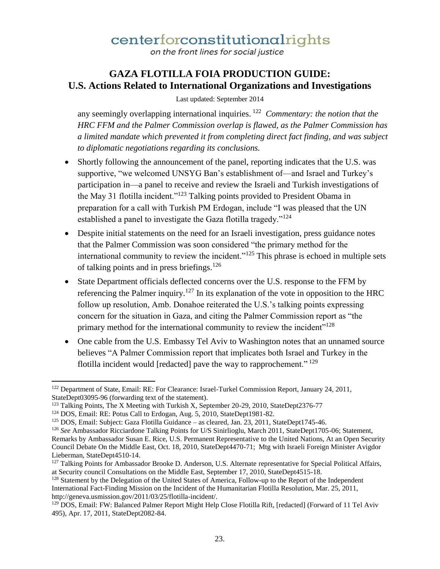on the front lines for social justice

### **GAZA FLOTILLA FOIA PRODUCTION GUIDE: U.S. Actions Related to International Organizations and Investigations**

Last updated: September 2014

any seemingly overlapping international inquiries. <sup>122</sup> *Commentary: the notion that the HRC FFM and the Palmer Commission overlap is flawed, as the Palmer Commission has a limited mandate which prevented it from completing direct fact finding, and was subject to diplomatic negotiations regarding its conclusions.*

- Shortly following the announcement of the panel, reporting indicates that the U.S. was supportive, "we welcomed UNSYG Ban's establishment of—and Israel and Turkey's participation in—a panel to receive and review the Israeli and Turkish investigations of the May 31 flotilla incident."<sup>123</sup> Talking points provided to President Obama in preparation for a call with Turkish PM Erdogan, include "I was pleased that the UN established a panel to investigate the Gaza flotilla tragedy."<sup>124</sup>
- Despite initial statements on the need for an Israeli investigation, press guidance notes that the Palmer Commission was soon considered "the primary method for the international community to review the incident."<sup>125</sup> This phrase is echoed in multiple sets of talking points and in press briefings.<sup>126</sup>
- State Department officials deflected concerns over the U.S. response to the FFM by referencing the Palmer inquiry.<sup>127</sup> In its explanation of the vote in opposition to the HRC follow up resolution, Amb. Donahoe reiterated the U.S.'s talking points expressing concern for the situation in Gaza, and citing the Palmer Commission report as "the primary method for the international community to review the incident"<sup>128</sup>
- One cable from the U.S. Embassy Tel Aviv to Washington notes that an unnamed source believes "A Palmer Commission report that implicates both Israel and Turkey in the flotilla incident would [redacted] pave the way to rapprochement."<sup>129</sup>

 $\overline{\phantom{a}}$ <sup>122</sup> Department of State, Email: RE: For Clearance: Israel-Turkel Commission Report, January 24, 2011, StateDept03095-96 (forwarding text of the statement).

<sup>&</sup>lt;sup>123</sup> Talking Points, The X Meeting with Turkish X, September 20-29, 2010, StateDept2376-77

<sup>&</sup>lt;sup>124</sup> DOS, Email: RE: Potus Call to Erdogan, Aug. 5, 2010, StateDept1981-82.

<sup>&</sup>lt;sup>125</sup> DOS, Email: Subject: Gaza Flotilla Guidance – as cleared, Jan. 23, 2011, StateDept1745-46.

<sup>&</sup>lt;sup>126</sup> See Ambassador Ricciardone Talking Points for U/S Sinirlioglu, March 2011, StateDept1705-06; Statement, Remarks by Ambassador Susan E. Rice, U.S. Permanent Representative to the United Nations, At an Open Security Council Debate On the Middle East, Oct. 18, 2010, StateDept4470-71; Mtg with Israeli Foreign Minister Avigdor Lieberman, StateDept4510-14.

<sup>&</sup>lt;sup>127</sup> Talking Points for Ambassador Brooke D. Anderson, U.S. Alternate representative for Special Political Affairs, at Security council Consultations on the Middle East, September 17, 2010, StateDept4515-18.

<sup>&</sup>lt;sup>128</sup> Statement by the Delegation of the United States of America, Follow-up to the Report of the Independent International Fact-Finding Mission on the Incident of the Humanitarian Flotilla Resolution, Mar. 25, 2011, http://geneva.usmission.gov/2011/03/25/flotilla-incident/.

<sup>&</sup>lt;sup>129</sup> DOS, Email: FW: Balanced Palmer Report Might Help Close Flotilla Rift, [redacted] (Forward of 11 Tel Aviv 495), Apr. 17, 2011, StateDept2082-84.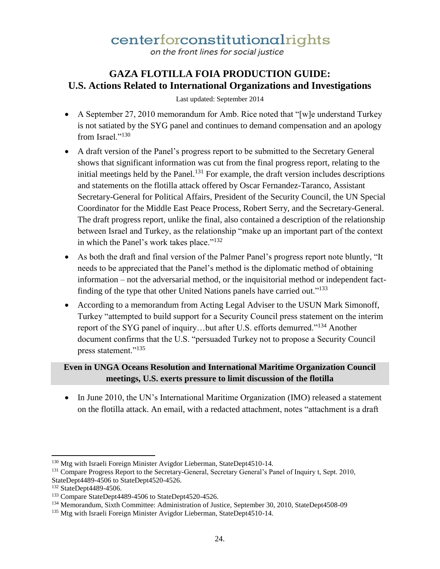on the front lines for social justice

### **GAZA FLOTILLA FOIA PRODUCTION GUIDE: U.S. Actions Related to International Organizations and Investigations**

Last updated: September 2014

- A September 27, 2010 memorandum for Amb. Rice noted that "[w]e understand Turkey is not satiated by the SYG panel and continues to demand compensation and an apology from Israel."<sup>130</sup>
- A draft version of the Panel's progress report to be submitted to the Secretary General shows that significant information was cut from the final progress report, relating to the initial meetings held by the Panel.<sup>131</sup> For example, the draft version includes descriptions and statements on the flotilla attack offered by Oscar Fernandez-Taranco, Assistant Secretary-General for Political Affairs, President of the Security Council, the UN Special Coordinator for the Middle East Peace Process, Robert Serry, and the Secretary-General. The draft progress report, unlike the final, also contained a description of the relationship between Israel and Turkey, as the relationship "make up an important part of the context in which the Panel's work takes place."<sup>132</sup>
- As both the draft and final version of the Palmer Panel's progress report note bluntly, "It needs to be appreciated that the Panel's method is the diplomatic method of obtaining information – not the adversarial method, or the inquisitorial method or independent factfinding of the type that other United Nations panels have carried out."<sup>133</sup>
- According to a memorandum from Acting Legal Adviser to the USUN Mark Simonoff, Turkey "attempted to build support for a Security Council press statement on the interim report of the SYG panel of inquiry...but after U.S. efforts demurred."<sup>134</sup> Another document confirms that the U.S. "persuaded Turkey not to propose a Security Council press statement."<sup>135</sup>

#### **Even in UNGA Oceans Resolution and International Maritime Organization Council meetings, U.S. exerts pressure to limit discussion of the flotilla**

• In June 2010, the UN's International Maritime Organization (IMO) released a statement on the flotilla attack. An email, with a redacted attachment, notes "attachment is a draft

<sup>&</sup>lt;sup>130</sup> Mtg with Israeli Foreign Minister Avigdor Lieberman, StateDept4510-14.

<sup>&</sup>lt;sup>131</sup> Compare Progress Report to the Secretary-General, Secretary General's Panel of Inquiry t, Sept. 2010, StateDept4489-4506 to StateDept4520-4526.

<sup>132</sup> StateDept4489-4506.

<sup>133</sup> Compare StateDept4489-4506 to StateDept4520-4526.

<sup>134</sup> Memorandum, Sixth Committee: Administration of Justice, September 30, 2010, StateDept4508-09

<sup>&</sup>lt;sup>135</sup> Mtg with Israeli Foreign Minister Avigdor Lieberman, StateDept4510-14.